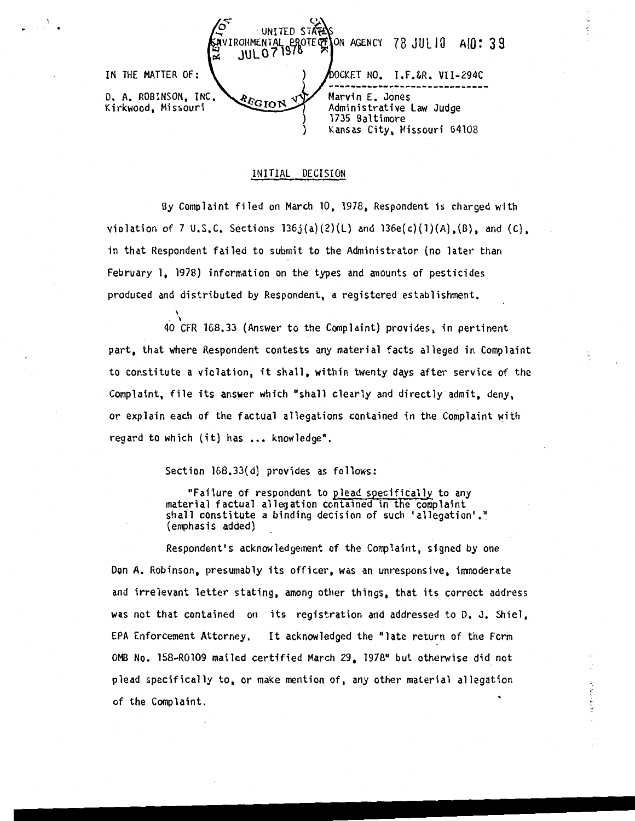78 JULIO AIQ: 39 **JUL0719** IN THE MATTER OF: OCKET NO. I.F.&R. VII-294C D. A. ROBINSON, INC. Marvin E. Jones  $E_{\rm GION}$ Kirkwood, Missouri Administrative law Judge 1735 Baltimore Kansas City, Missouri 64108

## INITIAL DECISION

By Complaint filed on March 10, 1978, Respondent is charged with violation of 7 U.S.C. Sections  $136j(a)(2)(L)$  and  $136e(c)(1)(A)$ ,  $(B)$ , and  $(C)$ , in that Respondent failed to submit to the Administrator (no later than February 1, 1978) information on the types and anounts of pesticides produced and distributed by Respondent, a registered establishment.

40 CFR 168.33 (Answer to the Complaint) provides, in pertinent part, that where Respondent contests any material facts alleged in Complaint to constitute a violation, it shall, within twenty days after service of the Complaint, file its answer which "shall clearly and directly-admit, deny, or explain each of the factual allegations contained in the Complaint with regard to which (it) has ... knowledge".

Section 168.33(d) provides as follows:

"Failure of respondent to plead specifically to any material factual allegation contained in the complaint shall constitute a binding decision of such 'allegation'." (emphasis added)

Respondent's acknowledgement of the Complaint, signed by one Don A. Robinson, presumably its officer, was an unresponsive, immoderate and irrelevant letter stating, among other things, that its correct address was not that contained on its registration and addressed to D. J. Shiel. EPA Enforcement Attorney. It acknowledged the "late return of the Form OMB No. 158-R0109 mailed certified March 29, 197a•• but otherwise did not plead specifically to, or make mention of, any other material allegation of the Complaint.

ŷ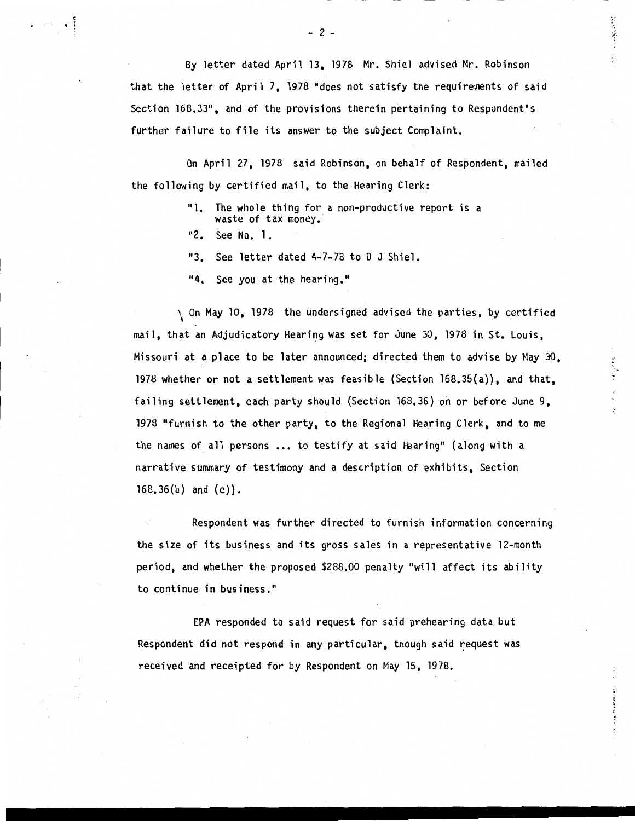By letter dated April 13, 1978 Mr. Shiel advised Mr. Robinson that the letter of April 7. 1978 "does not satisfy the requirements of said Section 168,33", and of the provisions therein pertaining to Respondent's further failure to file its answer to the subject Complaint.

:...;.

On April 27, 1978 said Robinson, on behalf of Respondent, mailed the following by certified mail, to the Hearing Clerk:

- "1. The whole thing for a non-productive report is a waste of tax money.
- "2. See No. 1.

 $^{\bullet}$  i

"3. See letter dated 4-7-78 to 0 J Shiel.

"4. See you at the hearing."

\ On May 10, 1978 the undersigned advised the parties, by certified mail, that an Adjudicatory Hearing was set for June 30, 1978 in St. Louis, Missouri at a place to be later announced; directed them to advise by May  $30<sub>z</sub>$ 1978 whether or not a settlement was feasible (Section 168.35(a)), and that, failing settlement, each party should (Section 168,36) on or before June 9, 1978 "furnish to the other party, to the Regional Hearing Clerk, and to me the names of all persons ... to testify at said Hearing" (along with a narrative summary of testimony and a description of exhibits, Section  $168,36(b)$  and  $(e)$ ).

Respondent was further directed to furnish information concerning the size of its business and its gross sales in a representative 12-month period, and whether the proposed \$288,00 penalty "will affect its ability to continue in business."

EPA responded to said request for said prehearing data but Respondent did not respond in any particular, though said request was received and receipted for by Respondent on May 15, 1978.